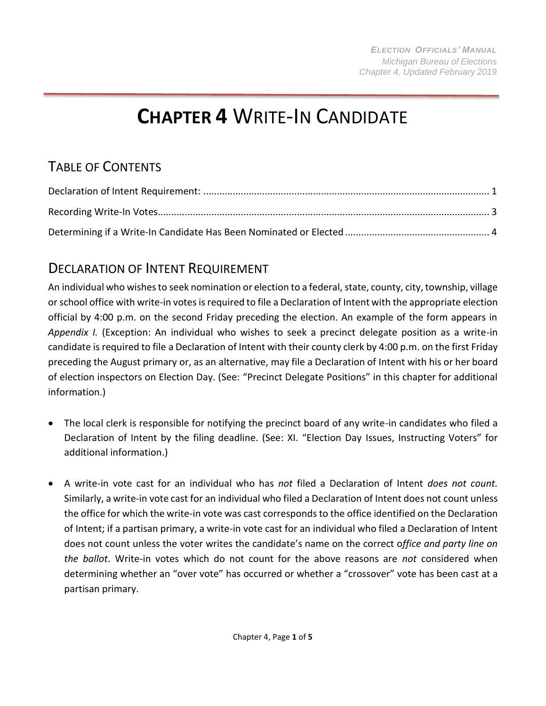# **CHAPTER 4** WRITE-IN CANDIDATE

## TABLE OF CONTENTS

### <span id="page-0-0"></span>DECLARATION OF INTENT REQUIREMENT

An individual who wishes to seek nomination or election to a federal, state, county, city, township, village or school office with write-in votes is required to file a Declaration of Intent with the appropriate election official by 4:00 p.m. on the second Friday preceding the election. An example of the form appears in *Appendix I.* (Exception: An individual who wishes to seek a precinct delegate position as a write-in candidate is required to file a Declaration of Intent with their county clerk by 4:00 p.m. on the first Friday preceding the August primary or, as an alternative, may file a Declaration of Intent with his or her board of election inspectors on Election Day. (See: "Precinct Delegate Positions" in this chapter for additional information.)

- The local clerk is responsible for notifying the precinct board of any write-in candidates who filed a Declaration of Intent by the filing deadline. (See: XI. "Election Day Issues, Instructing Voters" for additional information.)
- A write-in vote cast for an individual who has *not* filed a Declaration of Intent *does not count.*  Similarly, a write-in vote cast for an individual who filed a Declaration of Intent does not count unless the office for which the write-in vote was cast correspondsto the office identified on the Declaration of Intent; if a partisan primary, a write-in vote cast for an individual who filed a Declaration of Intent does not count unless the voter writes the candidate's name on the correct o*ffice and party line on the ballot*. Write-in votes which do not count for the above reasons are *not* considered when determining whether an "over vote" has occurred or whether a "crossover" vote has been cast at a partisan primary.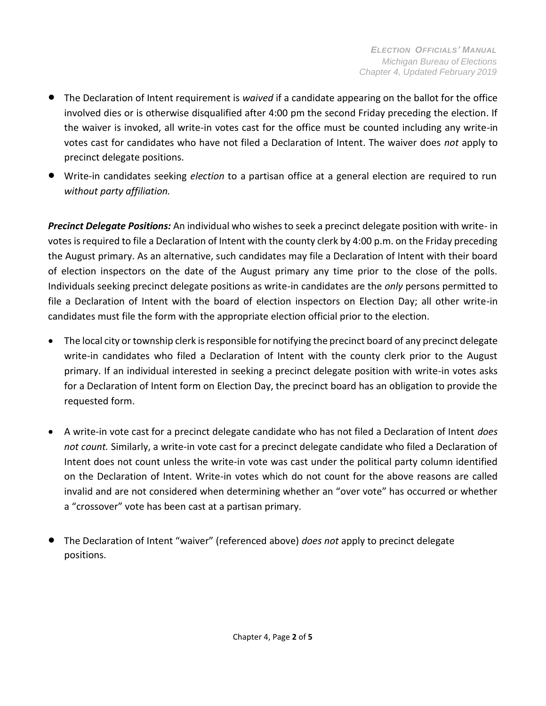- The Declaration of Intent requirement is *waived* if a candidate appearing on the ballot for the office involved dies or is otherwise disqualified after 4:00 pm the second Friday preceding the election. If the waiver is invoked, all write-in votes cast for the office must be counted including any write-in votes cast for candidates who have not filed a Declaration of Intent. The waiver does *not* apply to precinct delegate positions.
- Write-in candidates seeking *election* to a partisan office at a general election are required to run *without party affiliation.*

*Precinct Delegate Positions:* An individual who wishes to seek a precinct delegate position with write- in votes is required to file a Declaration of Intent with the county clerk by 4:00 p.m. on the Friday preceding the August primary. As an alternative, such candidates may file a Declaration of Intent with their board of election inspectors on the date of the August primary any time prior to the close of the polls. Individuals seeking precinct delegate positions as write-in candidates are the *only* persons permitted to file a Declaration of Intent with the board of election inspectors on Election Day; all other write-in candidates must file the form with the appropriate election official prior to the election.

- The local city or township clerk is responsible for notifying the precinct board of any precinct delegate write-in candidates who filed a Declaration of Intent with the county clerk prior to the August primary. If an individual interested in seeking a precinct delegate position with write-in votes asks for a Declaration of Intent form on Election Day, the precinct board has an obligation to provide the requested form.
- A write-in vote cast for a precinct delegate candidate who has not filed a Declaration of Intent *does not count.* Similarly, a write-in vote cast for a precinct delegate candidate who filed a Declaration of Intent does not count unless the write-in vote was cast under the political party column identified on the Declaration of Intent. Write-in votes which do not count for the above reasons are called invalid and are not considered when determining whether an "over vote" has occurred or whether a "crossover" vote has been cast at a partisan primary.
- The Declaration of Intent "waiver" (referenced above) *does not* apply to precinct delegate positions.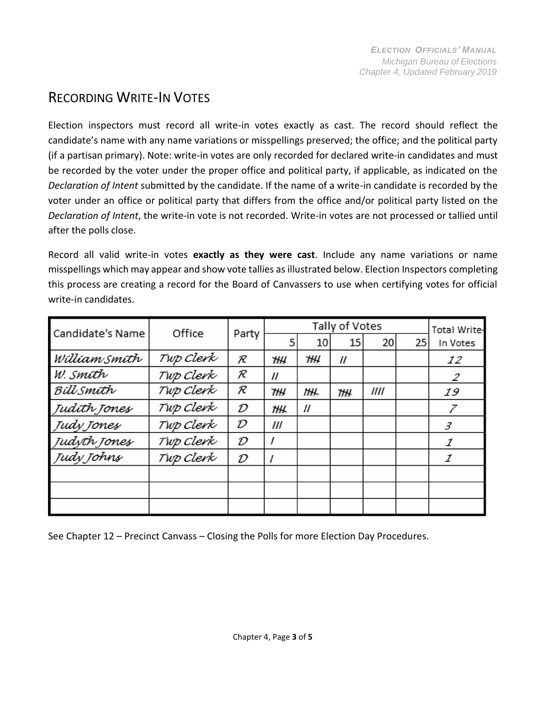#### <span id="page-2-0"></span>RECORDING WRITE-IN VOTES

Election inspectors must record all write-in votes exactly as cast. The record should reflect the candidate's name with any name variations or misspellings preserved; the office; and the political party (if a partisan primary). Note: write-in votes are only recorded for declared write-in candidates and must be recorded by the voter under the proper office and political party, if applicable, as indicated on the *Declaration of Intent* submitted by the candidate. If the name of a write-in candidate is recorded by the voter under an office or political party that differs from the office and/or political party listed on the *Declaration of Intent*, the write-in vote is not recorded. Write-in votes are not processed or tallied until after the polls close.

Record all valid write-in votes **exactly as they were cast**. Include any name variations or name misspellings which may appear and show vote tallies asillustrated below. Election Inspectors completing this process are creating a record for the Board of Canvassers to use when certifying votes for official write-in candidates.

| Candidate's Name | Office    | Party | Tally of Votes    |                   |                   |      |    | <b>Total Write-</b> |
|------------------|-----------|-------|-------------------|-------------------|-------------------|------|----|---------------------|
|                  |           |       | 5                 | 10                | 15                | 20   | 25 | In Votes            |
| William Smith    | Twp Clerk | R     | Ή₩                | ΉЧ                | $^{\prime\prime}$ |      |    | 12                  |
| W. smíth         | Tup Clerk | R     | $^{\prime\prime}$ |                   |                   |      |    | 2                   |
| Billsmith        | Twp Clerk | R     | ΉΗ                | ĦΗ.               | Ή₩                | //// |    | 19                  |
| Judith Jones     | Twp Clerk | D     | ĦЖ                | $^{\prime\prime}$ |                   |      |    |                     |
| Judy Jones       | Twp Clerk | D     | ///               |                   |                   |      |    | 3                   |
| Judyth Jones     | Twp Clerk | D     |                   |                   |                   |      |    | 1                   |
| Judy Johns       | Twp Clerk | D     |                   |                   |                   |      |    | 1                   |
|                  |           |       |                   |                   |                   |      |    |                     |
|                  |           |       |                   |                   |                   |      |    |                     |
|                  |           |       |                   |                   |                   |      |    |                     |

See Chapter 12 – Precinct Canvass – Closing the Polls for more Election Day Procedures.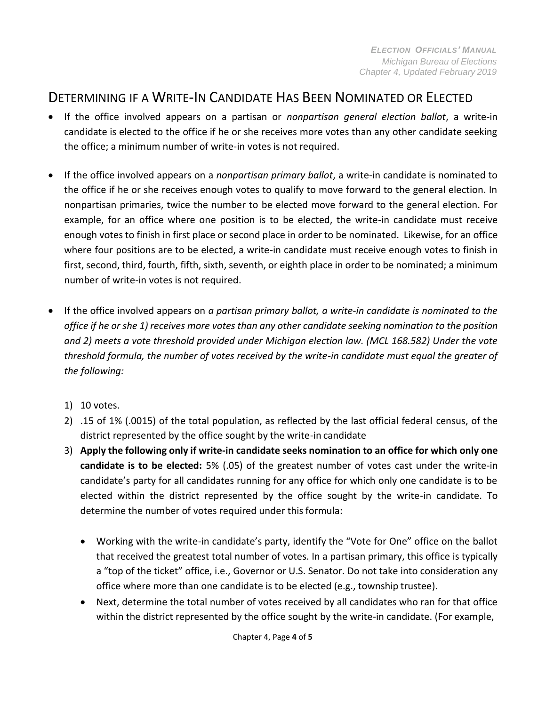#### DETERMINING IF A WRITE-IN CANDIDATE HAS BEEN NOMINATED OR ELECTED

- If the office involved appears on a partisan or *nonpartisan general election ballot*, a write-in candidate is elected to the office if he or she receives more votes than any other candidate seeking the office; a minimum number of write-in votes is not required.
- If the office involved appears on a *nonpartisan primary ballot*, a write-in candidate is nominated to the office if he or she receives enough votes to qualify to move forward to the general election. In nonpartisan primaries, twice the number to be elected move forward to the general election. For example, for an office where one position is to be elected, the write-in candidate must receive enough votes to finish in first place or second place in order to be nominated. Likewise, for an office where four positions are to be elected, a write-in candidate must receive enough votes to finish in first, second, third, fourth, fifth, sixth, seventh, or eighth place in order to be nominated; a minimum number of write-in votes is not required.
- If the office involved appears on *a partisan primary ballot, a write-in candidate is nominated to the*  office if he or she 1) receives more votes than any other candidate seeking nomination to the position *and 2) meets a vote threshold provided under Michigan election law. (MCL 168.582) Under the vote threshold formula, the number of votes received by the write-in candidate must equal the greater of the following:*
	- 1) 10 votes.
	- 2) .15 of 1% (.0015) of the total population, as reflected by the last official federal census, of the district represented by the office sought by the write-in candidate
	- 3) **Apply the following only if write-in candidate seeks nomination to an office for which only one candidate is to be elected:** 5% (.05) of the greatest number of votes cast under the write-in candidate's party for all candidates running for any office for which only one candidate is to be elected within the district represented by the office sought by the write-in candidate. To determine the number of votes required under this formula:
		- Working with the write-in candidate's party, identify the "Vote for One" office on the ballot that received the greatest total number of votes. In a partisan primary, this office is typically a "top of the ticket" office, i.e., Governor or U.S. Senator. Do not take into consideration any office where more than one candidate is to be elected (e.g., township trustee).
		- Next, determine the total number of votes received by all candidates who ran for that office within the district represented by the office sought by the write-in candidate. (For example,